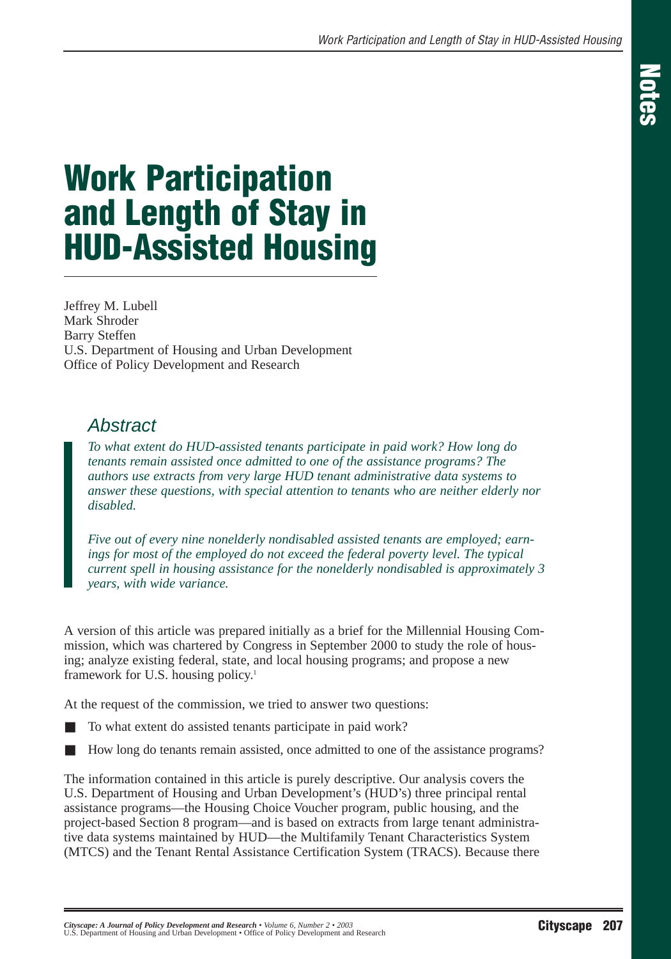## **Work Participation and Length of Stay in HUD-Assisted Housing**

Jeffrey M. Lubell Mark Shroder Barry Steffen U.S. Department of Housing and Urban Development Office of Policy Development and Research

#### **Abstract**

*To what extent do HUD-assisted tenants participate in paid work? How long do tenants remain assisted once admitted to one of the assistance programs? The authors use extracts from very large HUD tenant administrative data systems to answer these questions, with special attention to tenants who are neither elderly nor disabled.*

*Five out of every nine nonelderly nondisabled assisted tenants are employed; earnings for most of the employed do not exceed the federal poverty level. The typical current spell in housing assistance for the nonelderly nondisabled is approximately 3 years, with wide variance.*

A version of this article was prepared initially as a brief for the Millennial Housing Commission, which was chartered by Congress in September 2000 to study the role of housing; analyze existing federal, state, and local housing programs; and propose a new framework for U.S. housing policy.1

At the request of the commission, we tried to answer two questions:

- To what extent do assisted tenants participate in paid work?
- How long do tenants remain assisted, once admitted to one of the assistance programs?

The information contained in this article is purely descriptive. Our analysis covers the U.S. Department of Housing and Urban Development's (HUD's) three principal rental assistance programs—the Housing Choice Voucher program, public housing, and the project-based Section 8 program—and is based on extracts from large tenant administrative data systems maintained by HUD––the Multifamily Tenant Characteristics System (MTCS) and the Tenant Rental Assistance Certification System (TRACS). Because there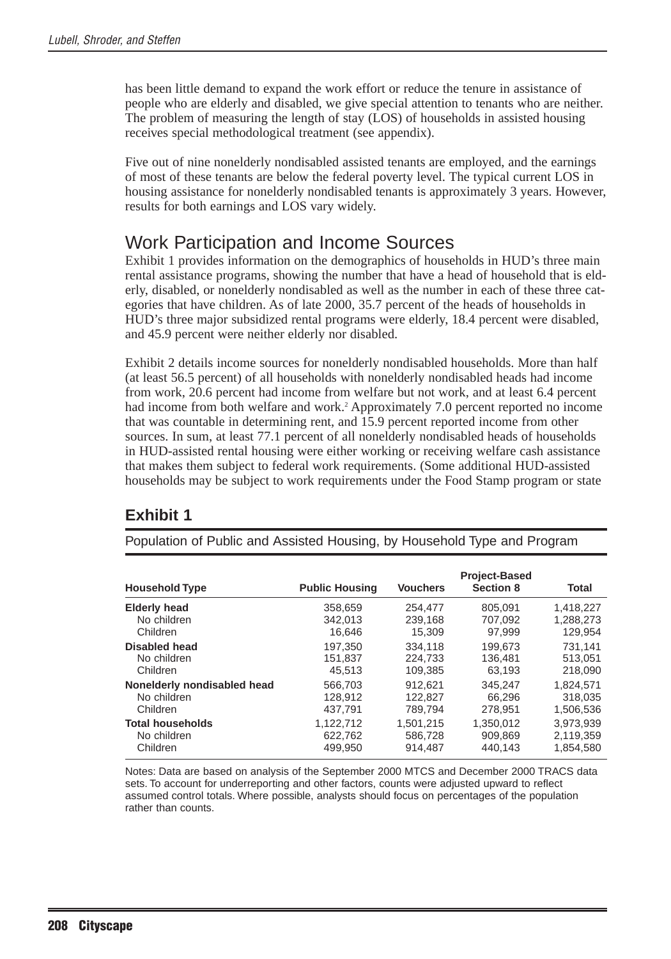has been little demand to expand the work effort or reduce the tenure in assistance of people who are elderly and disabled, we give special attention to tenants who are neither. The problem of measuring the length of stay (LOS) of households in assisted housing receives special methodological treatment (see appendix).

Five out of nine nonelderly nondisabled assisted tenants are employed, and the earnings of most of these tenants are below the federal poverty level. The typical current LOS in housing assistance for nonelderly nondisabled tenants is approximately 3 years. However, results for both earnings and LOS vary widely.

#### Work Participation and Income Sources

Exhibit 1 provides information on the demographics of households in HUD's three main rental assistance programs, showing the number that have a head of household that is elderly, disabled, or nonelderly nondisabled as well as the number in each of these three categories that have children. As of late 2000, 35.7 percent of the heads of households in HUD's three major subsidized rental programs were elderly, 18.4 percent were disabled, and 45.9 percent were neither elderly nor disabled.

Exhibit 2 details income sources for nonelderly nondisabled households. More than half (at least 56.5 percent) of all households with nonelderly nondisabled heads had income from work, 20.6 percent had income from welfare but not work, and at least 6.4 percent had income from both welfare and work.<sup>2</sup> Approximately 7.0 percent reported no income that was countable in determining rent, and 15.9 percent reported income from other sources. In sum, at least 77.1 percent of all nonelderly nondisabled heads of households in HUD-assisted rental housing were either working or receiving welfare cash assistance that makes them subject to federal work requirements. (Some additional HUD-assisted households may be subject to work requirements under the Food Stamp program or state

#### **Exhibit 1**

Population of Public and Assisted Housing, by Household Type and Program

| <b>Household Type</b>       | <b>Public Housing</b> | <b>Vouchers</b> | <b>Project-Based</b><br><b>Section 8</b> | <b>Total</b> |
|-----------------------------|-----------------------|-----------------|------------------------------------------|--------------|
| <b>Elderly head</b>         | 358,659               | 254.477         | 805.091                                  | 1.418.227    |
| No children                 | 342.013               | 239.168         | 707.092                                  | 1,288,273    |
| Children                    | 16.646                | 15.309          | 97.999                                   | 129,954      |
| Disabled head               | 197.350               | 334.118         | 199.673                                  | 731.141      |
| No children                 | 151.837               | 224.733         | 136.481                                  | 513.051      |
| Children                    | 45.513                | 109,385         | 63.193                                   | 218,090      |
| Nonelderly nondisabled head | 566.703               | 912.621         | 345.247                                  | 1,824,571    |
| No children                 | 128.912               | 122.827         | 66.296                                   | 318.035      |
| Children                    | 437.791               | 789.794         | 278.951                                  | 1.506.536    |
| <b>Total households</b>     | 1.122.712             | 1.501.215       | 1.350.012                                | 3.973.939    |
| No children                 | 622.762               | 586.728         | 909.869                                  | 2.119.359    |
| Children                    | 499.950               | 914.487         | 440,143                                  | 1.854.580    |

Notes: Data are based on analysis of the September 2000 MTCS and December 2000 TRACS data sets. To account for underreporting and other factors, counts were adjusted upward to reflect assumed control totals. Where possible, analysts should focus on percentages of the population rather than counts.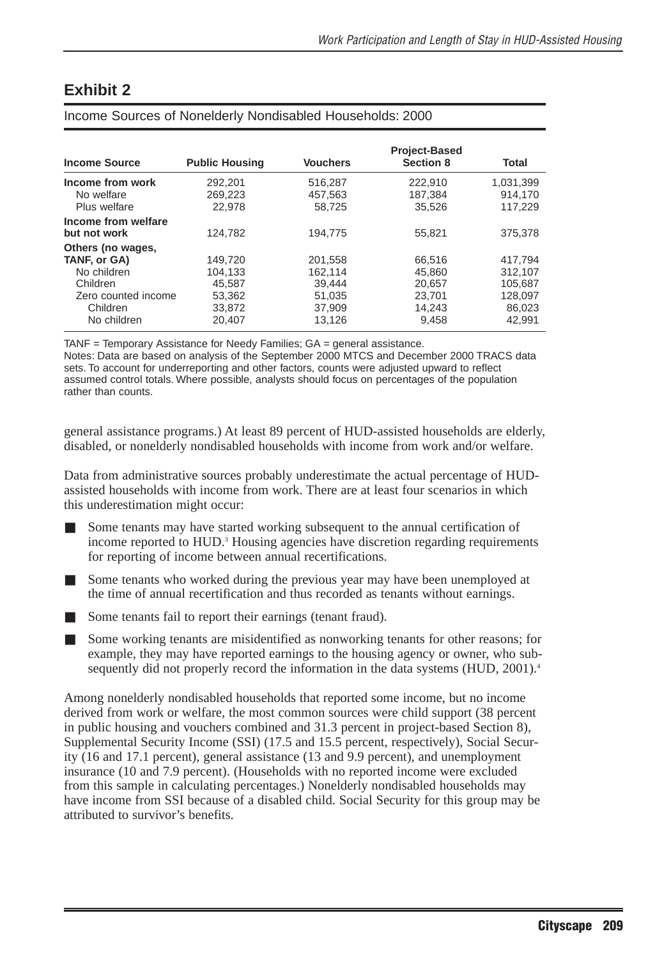| <b>Income Source</b>                                         | <b>Public Housing</b>        | <b>Vouchers</b>              | <b>Project-Based</b><br>Section 8 | Total                           |
|--------------------------------------------------------------|------------------------------|------------------------------|-----------------------------------|---------------------------------|
| Income from work<br>No welfare<br>Plus welfare               | 292,201<br>269,223<br>22.978 | 516,287<br>457,563<br>58.725 | 222,910<br>187,384<br>35,526      | 1,031,399<br>914.170<br>117,229 |
| Income from welfare<br>but not work                          | 124.782                      | 194.775                      | 55.821                            | 375.378                         |
| Others (no wages,<br>TANF, or GA)<br>No children<br>Children | 149.720<br>104,133<br>45.587 | 201,558<br>162,114<br>39,444 | 66,516<br>45,860<br>20.657        | 417.794<br>312,107<br>105.687   |
| Zero counted income<br>Children<br>No children               | 53.362<br>33.872<br>20.407   | 51.035<br>37.909<br>13.126   | 23.701<br>14.243<br>9.458         | 128.097<br>86.023<br>42.991     |

TANF = Temporary Assistance for Needy Families; GA = general assistance.

Income Sources of Nonelderly Nondisabled Households: 2000

Notes: Data are based on analysis of the September 2000 MTCS and December 2000 TRACS data sets. To account for underreporting and other factors, counts were adjusted upward to reflect assumed control totals. Where possible, analysts should focus on percentages of the population rather than counts.

general assistance programs.) At least 89 percent of HUD-assisted households are elderly, disabled, or nonelderly nondisabled households with income from work and/or welfare.

Data from administrative sources probably underestimate the actual percentage of HUDassisted households with income from work. There are at least four scenarios in which this underestimation might occur:

- Some tenants may have started working subsequent to the annual certification of income reported to HUD.<sup>3</sup> Housing agencies have discretion regarding requirements for reporting of income between annual recertifications.
- Some tenants who worked during the previous year may have been unemployed at the time of annual recertification and thus recorded as tenants without earnings.
- Some tenants fail to report their earnings (tenant fraud).
- Some working tenants are misidentified as nonworking tenants for other reasons; for example, they may have reported earnings to the housing agency or owner, who subsequently did not properly record the information in the data systems (HUD, 2001).<sup>4</sup>

Among nonelderly nondisabled households that reported some income, but no income derived from work or welfare, the most common sources were child support (38 percent in public housing and vouchers combined and 31.3 percent in project-based Section 8), Supplemental Security Income (SSI) (17.5 and 15.5 percent, respectively), Social Security (16 and 17.1 percent), general assistance (13 and 9.9 percent), and unemployment insurance (10 and 7.9 percent). (Households with no reported income were excluded from this sample in calculating percentages.) Nonelderly nondisabled households may have income from SSI because of a disabled child. Social Security for this group may be attributed to survivor's benefits.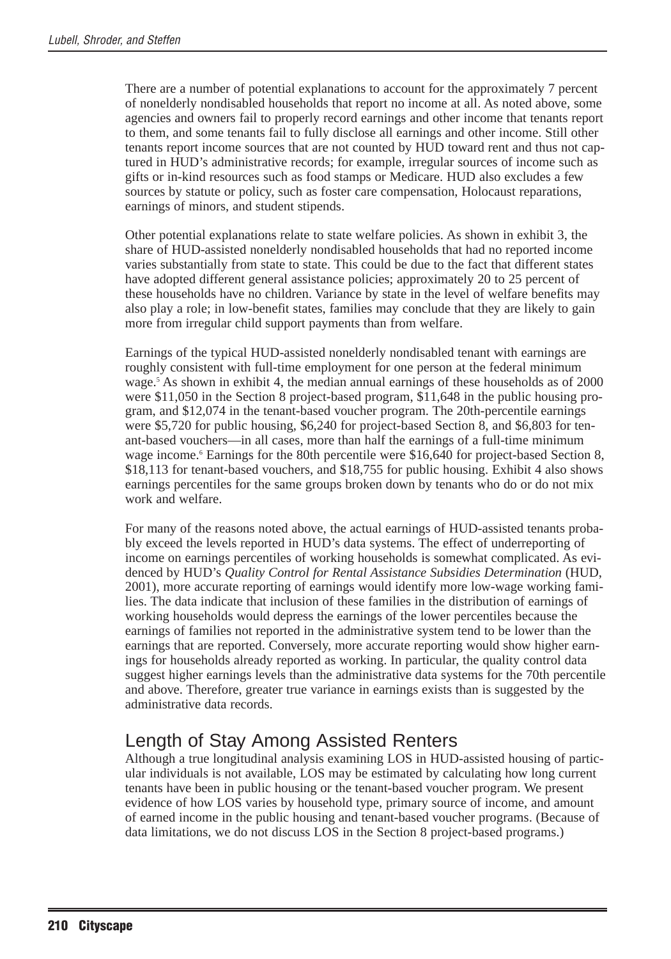There are a number of potential explanations to account for the approximately 7 percent of nonelderly nondisabled households that report no income at all. As noted above, some agencies and owners fail to properly record earnings and other income that tenants report to them, and some tenants fail to fully disclose all earnings and other income. Still other tenants report income sources that are not counted by HUD toward rent and thus not captured in HUD's administrative records; for example, irregular sources of income such as gifts or in-kind resources such as food stamps or Medicare. HUD also excludes a few sources by statute or policy, such as foster care compensation, Holocaust reparations, earnings of minors, and student stipends.

Other potential explanations relate to state welfare policies. As shown in exhibit 3, the share of HUD-assisted nonelderly nondisabled households that had no reported income varies substantially from state to state. This could be due to the fact that different states have adopted different general assistance policies; approximately 20 to 25 percent of these households have no children. Variance by state in the level of welfare benefits may also play a role; in low-benefit states, families may conclude that they are likely to gain more from irregular child support payments than from welfare.

Earnings of the typical HUD-assisted nonelderly nondisabled tenant with earnings are roughly consistent with full-time employment for one person at the federal minimum wage. <sup>5</sup> As shown in exhibit 4, the median annual earnings of these households as of 2000 were \$11,050 in the Section 8 project-based program, \$11,648 in the public housing program, and \$12,074 in the tenant-based voucher program. The 20th-percentile earnings were \$5,720 for public housing, \$6,240 for project-based Section 8, and \$6,803 for tenant-based vouchers—in all cases, more than half the earnings of a full-time minimum wage income.<sup>6</sup> Earnings for the 80th percentile were \$16,640 for project-based Section 8, \$18,113 for tenant-based vouchers, and \$18,755 for public housing. Exhibit 4 also shows earnings percentiles for the same groups broken down by tenants who do or do not mix work and welfare.

For many of the reasons noted above, the actual earnings of HUD-assisted tenants probably exceed the levels reported in HUD's data systems. The effect of underreporting of income on earnings percentiles of working households is somewhat complicated. As evidenced by HUD's *Quality Control for Rental Assistance Subsidies Determination* (HUD, 2001), more accurate reporting of earnings would identify more low-wage working families. The data indicate that inclusion of these families in the distribution of earnings of working households would depress the earnings of the lower percentiles because the earnings of families not reported in the administrative system tend to be lower than the earnings that are reported. Conversely, more accurate reporting would show higher earnings for households already reported as working. In particular, the quality control data suggest higher earnings levels than the administrative data systems for the 70th percentile and above. Therefore, greater true variance in earnings exists than is suggested by the administrative data records.

#### Length of Stay Among Assisted Renters

Although a true longitudinal analysis examining LOS in HUD-assisted housing of particular individuals is not available, LOS may be estimated by calculating how long current tenants have been in public housing or the tenant-based voucher program. We present evidence of how LOS varies by household type, primary source of income, and amount of earned income in the public housing and tenant-based voucher programs. (Because of data limitations, we do not discuss LOS in the Section 8 project-based programs.)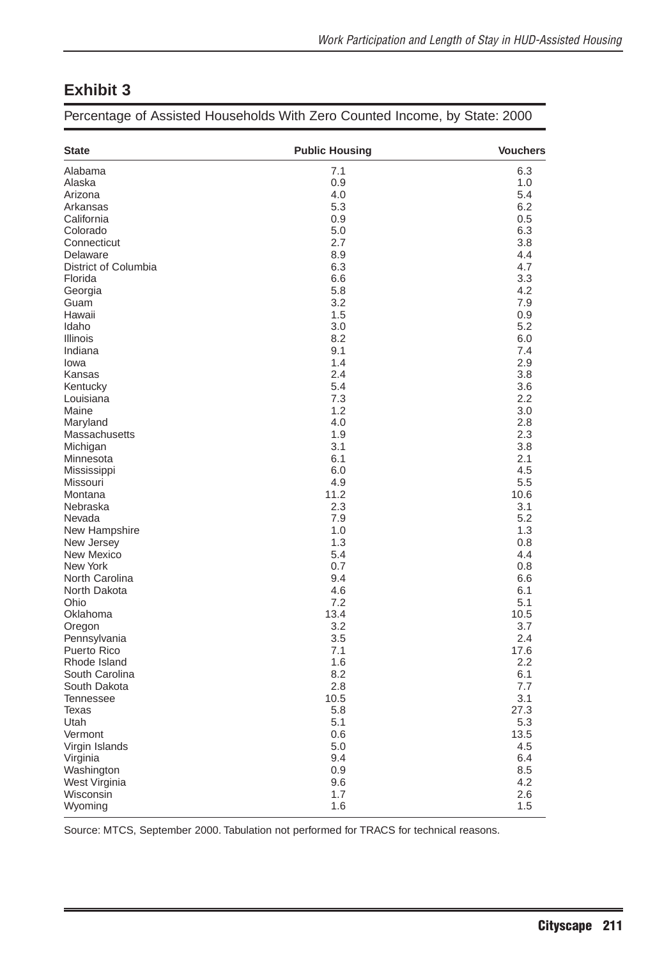Percentage of Assisted Households With Zero Counted Income, by State: 2000

| <b>State</b>          | <b>Public Housing</b> | <b>Vouchers</b> |
|-----------------------|-----------------------|-----------------|
| Alabama               | 7.1                   | 6.3             |
| Alaska                | 0.9                   | 1.0             |
| Arizona               | 4.0                   | 5.4             |
| Arkansas              | 5.3                   | 6.2             |
| California            | 0.9                   | 0.5             |
| Colorado              | 5.0                   | 6.3             |
| Connecticut           | 2.7                   | 3.8             |
| Delaware              | 8.9                   | 4.4             |
| District of Columbia  | 6.3                   | 4.7             |
| Florida               | 6.6                   | 3.3             |
| Georgia               | 5.8                   | 4.2             |
| Guam                  | 3.2                   | 7.9             |
| Hawaii                | 1.5                   | 0.9             |
| Idaho                 | 3.0                   | 5.2             |
| <b>Illinois</b>       | 8.2                   | 6.0             |
| Indiana               | 9.1                   | 7.4             |
| lowa                  | 1.4                   | 2.9             |
| Kansas                | 2.4                   | 3.8             |
|                       | 5.4                   | 3.6             |
| Kentucky<br>Louisiana | 7.3                   | 2.2             |
|                       | 1.2                   |                 |
| Maine                 |                       | 3.0             |
| Maryland              | 4.0                   | 2.8             |
| Massachusetts         | 1.9                   | 2.3             |
| Michigan              | 3.1                   | 3.8             |
| Minnesota             | 6.1                   | 2.1             |
| Mississippi           | 6.0                   | 4.5             |
| Missouri              | 4.9                   | 5.5             |
| Montana               | 11.2                  | 10.6            |
| Nebraska              | 2.3                   | 3.1             |
| Nevada                | 7.9                   | 5.2             |
| New Hampshire         | 1.0                   | 1.3             |
| New Jersey            | 1.3                   | 0.8             |
| New Mexico            | 5.4                   | 4.4             |
| New York              | 0.7                   | 0.8             |
| North Carolina        | 9.4                   | 6.6             |
| North Dakota          | 4.6                   | 6.1             |
| Ohio                  | 7.2                   | 5.1             |
| Oklahoma              | 13.4                  | 10.5            |
| Oregon                | 3.2                   | 3.7             |
| Pennsylvania          | 3.5                   | 2.4             |
| Puerto Rico           | 7.1                   | 17.6            |
| Rhode Island          | 1.6                   | 2.2             |
| South Carolina        | 8.2                   | 6.1             |
| South Dakota          | 2.8                   | 7.7             |
| <b>Tennessee</b>      | 10.5                  | 3.1             |
| Texas                 | 5.8                   | 27.3            |
| Utah                  | 5.1                   | 5.3             |
| Vermont               | 0.6                   | 13.5            |
| Virgin Islands        | 5.0                   | 4.5             |
| Virginia              | 9.4                   | 6.4             |
| Washington            | 0.9                   | 8.5             |
| West Virginia         | 9.6                   | 4.2             |
| Wisconsin             | 1.7                   | 2.6             |
| Wyoming               | 1.6                   | 1.5             |

Source: MTCS, September 2000. Tabulation not performed for TRACS for technical reasons.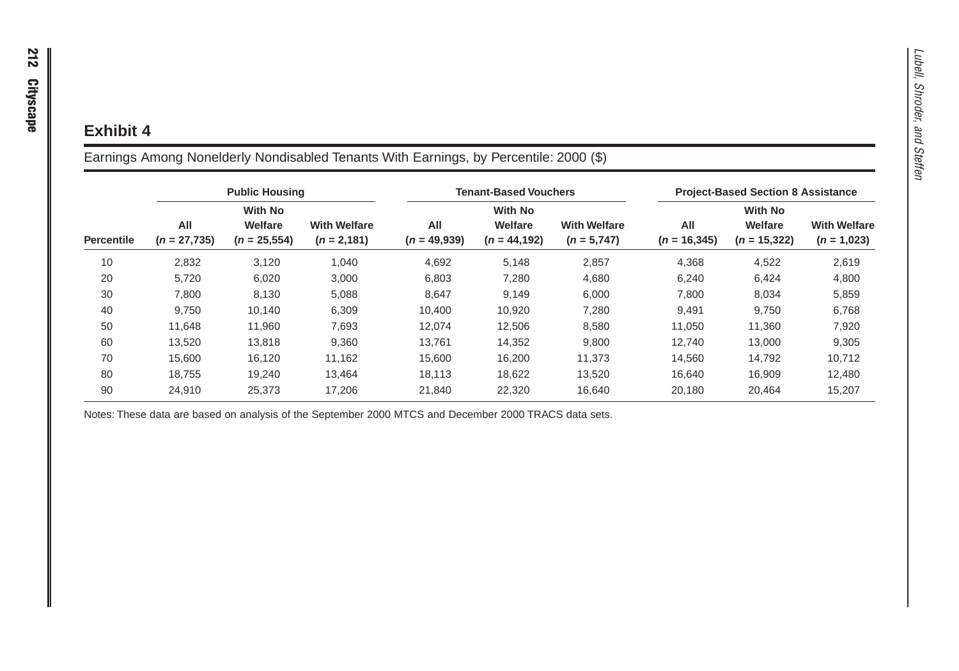# *Lubell, Shroder, and Steffen* **Exhibit 4** Earnings Among Nonelderly Nondisabled Tenants With Earnings, by Percentile: 2000 (\$)

|                   | <b>Public Housing</b> |                 |                     | <b>Tenant-Based Vouchers</b> |                 |                     | <b>Project-Based Section 8 Assistance</b> |                |                     |
|-------------------|-----------------------|-----------------|---------------------|------------------------------|-----------------|---------------------|-------------------------------------------|----------------|---------------------|
|                   |                       | <b>With No</b>  |                     |                              | <b>With No</b>  |                     |                                           | <b>With No</b> |                     |
|                   | All                   | Welfare         | <b>With Welfare</b> | All                          | Welfare         | <b>With Welfare</b> | All                                       | Welfare        | <b>With Welfare</b> |
| <b>Percentile</b> | $(n = 27, 735)$       | $(n = 25, 554)$ | $(n = 2, 181)$      | $(n = 49,939)$               | $(n = 44, 192)$ | $(n = 5,747)$       | $(n = 16, 345)$                           | $(n = 15,322)$ | $(n = 1,023)$       |
| 10                | 2,832                 | 3,120           | 1,040               | 4,692                        | 5,148           | 2,857               | 4,368                                     | 4,522          | 2,619               |
| 20                | 5,720                 | 6,020           | 3,000               | 6,803                        | 7,280           | 4,680               | 6,240                                     | 6,424          | 4,800               |
| 30                | 7.800                 | 8,130           | 5,088               | 8,647                        | 9,149           | 6,000               | 7,800                                     | 8,034          | 5,859               |
| 40                | 9,750                 | 10,140          | 6,309               | 10,400                       | 10,920          | 7,280               | 9,491                                     | 9,750          | 6,768               |
| 50                | 11.648                | 11,960          | 7,693               | 12,074                       | 12,506          | 8,580               | 11,050                                    | 11,360         | 7,920               |
| 60                | 13.520                | 13,818          | 9,360               | 13.761                       | 14,352          | 9,800               | 12,740                                    | 13,000         | 9,305               |
| 70                | 15,600                | 16,120          | 11,162              | 15,600                       | 16,200          | 11,373              | 14,560                                    | 14,792         | 10,712              |
| 80                | 18.755                | 19.240          | 13.464              | 18,113                       | 18,622          | 13,520              | 16,640                                    | 16,909         | 12,480              |
| 90                | 24.910                | 25,373          | 17.206              | 21,840                       | 22,320          | 16.640              | 20,180                                    | 20,464         | 15,207              |

Notes: These data are based on analysis of the September 2000 MTCS and December 2000 TRACS data sets.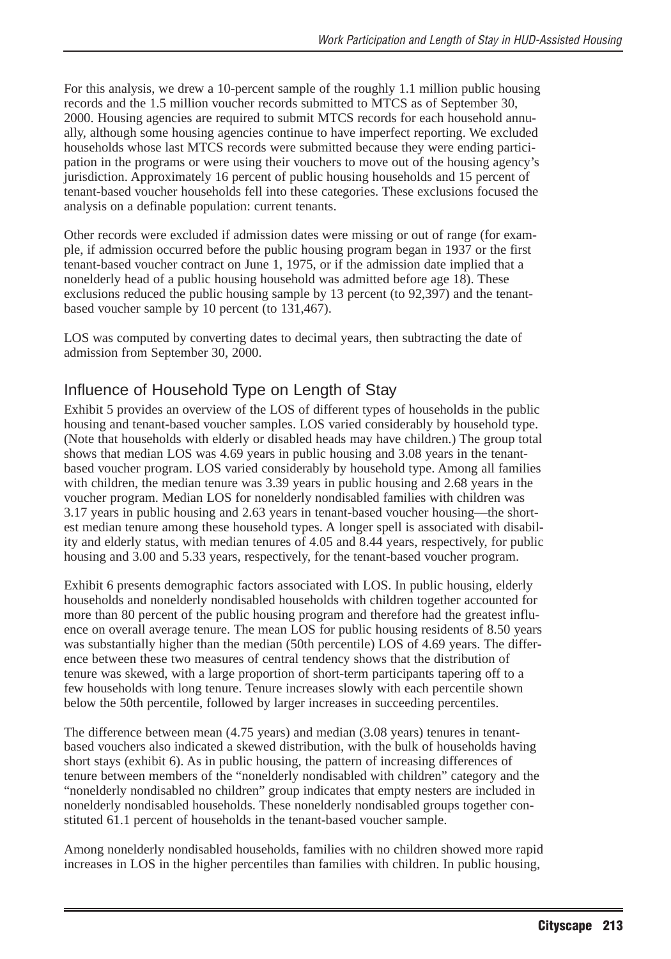For this analysis, we drew a 10-percent sample of the roughly 1.1 million public housing records and the 1.5 million voucher records submitted to MTCS as of September 30, 2000. Housing agencies are required to submit MTCS records for each household annually, although some housing agencies continue to have imperfect reporting. We excluded households whose last MTCS records were submitted because they were ending participation in the programs or were using their vouchers to move out of the housing agency's jurisdiction. Approximately 16 percent of public housing households and 15 percent of tenant-based voucher households fell into these categories. These exclusions focused the analysis on a definable population: current tenants.

Other records were excluded if admission dates were missing or out of range (for example, if admission occurred before the public housing program began in 1937 or the first tenant-based voucher contract on June 1, 1975, or if the admission date implied that a nonelderly head of a public housing household was admitted before age 18). These exclusions reduced the public housing sample by 13 percent (to 92,397) and the tenantbased voucher sample by 10 percent (to 131,467).

LOS was computed by converting dates to decimal years, then subtracting the date of admission from September 30, 2000.

#### Influence of Household Type on Length of Stay

Exhibit 5 provides an overview of the LOS of different types of households in the public housing and tenant-based voucher samples. LOS varied considerably by household type. (Note that households with elderly or disabled heads may have children.) The group total shows that median LOS was 4.69 years in public housing and 3.08 years in the tenantbased voucher program. LOS varied considerably by household type. Among all families with children, the median tenure was 3.39 years in public housing and 2.68 years in the voucher program. Median LOS for nonelderly nondisabled families with children was 3.17 years in public housing and 2.63 years in tenant-based voucher housing––the shortest median tenure among these household types. A longer spell is associated with disability and elderly status, with median tenures of 4.05 and 8.44 years, respectively, for public housing and 3.00 and 5.33 years, respectively, for the tenant-based voucher program.

Exhibit 6 presents demographic factors associated with LOS. In public housing, elderly households and nonelderly nondisabled households with children together accounted for more than 80 percent of the public housing program and therefore had the greatest influence on overall average tenure. The mean LOS for public housing residents of 8.50 years was substantially higher than the median (50th percentile) LOS of 4.69 years. The difference between these two measures of central tendency shows that the distribution of tenure was skewed, with a large proportion of short-term participants tapering off to a few households with long tenure. Tenure increases slowly with each percentile shown below the 50th percentile, followed by larger increases in succeeding percentiles.

The difference between mean (4.75 years) and median (3.08 years) tenures in tenantbased vouchers also indicated a skewed distribution, with the bulk of households having short stays (exhibit 6). As in public housing, the pattern of increasing differences of tenure between members of the "nonelderly nondisabled with children" category and the "nonelderly nondisabled no children" group indicates that empty nesters are included in nonelderly nondisabled households. These nonelderly nondisabled groups together constituted 61.1 percent of households in the tenant-based voucher sample.

Among nonelderly nondisabled households, families with no children showed more rapid increases in LOS in the higher percentiles than families with children. In public housing,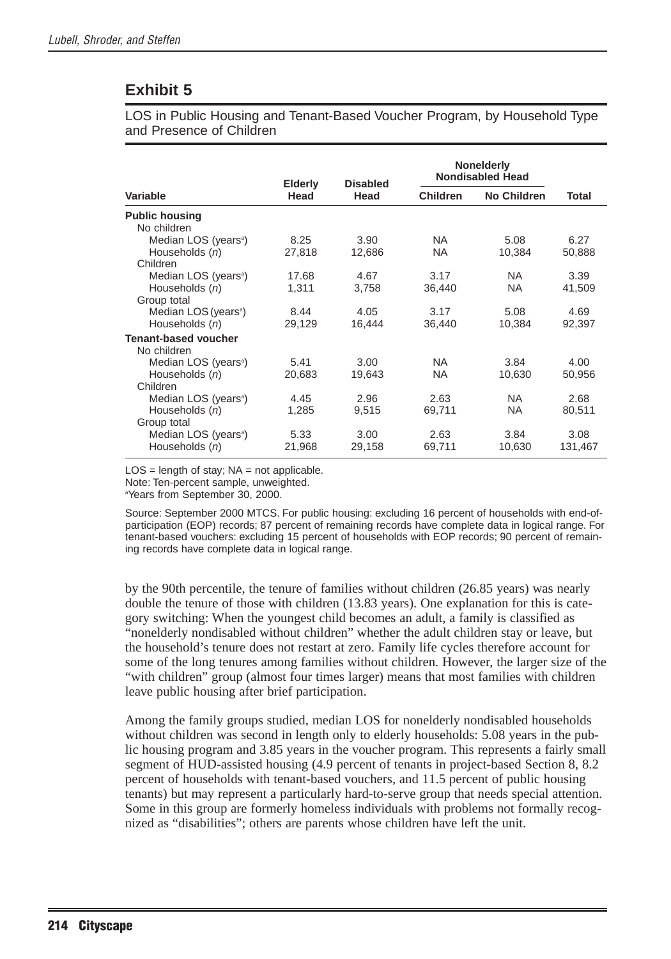LOS in Public Housing and Tenant-Based Voucher Program, by Household Type and Presence of Children

|                                            | <b>Elderly</b> | <b>Disabled</b> |                 | Nonelderly<br><b>Nondisabled Head</b> |         |
|--------------------------------------------|----------------|-----------------|-----------------|---------------------------------------|---------|
| Variable                                   | Head           | Head            | <b>Children</b> | No Children                           | Total   |
| <b>Public housing</b><br>No children       |                |                 |                 |                                       |         |
| Median LOS (years <sup>a</sup> )           | 8.25           | 3.90            | NA.             | 5.08                                  | 6.27    |
| Households (n)                             | 27,818         | 12,686          | NA.             | 10,384                                | 50,888  |
| Children                                   |                |                 |                 |                                       |         |
| Median LOS (years <sup>a</sup> )           | 17.68          | 4.67            | 3.17            | NA.                                   | 3.39    |
| Households (n)                             | 1,311          | 3,758           | 36,440          | <b>NA</b>                             | 41,509  |
| Group total                                |                |                 |                 |                                       |         |
| Median LOS (years <sup>a</sup> )           | 8.44           | 4.05            | 3.17            | 5.08                                  | 4.69    |
| Households (n)                             | 29,129         | 16,444          | 36,440          | 10,384                                | 92,397  |
| <b>Tenant-based voucher</b><br>No children |                |                 |                 |                                       |         |
| Median LOS (years <sup>a</sup> )           | 5.41           | 3.00            | <b>NA</b>       | 3.84                                  | 4.00    |
| Households (n)                             | 20,683         | 19,643          | NA.             | 10,630                                | 50,956  |
| Children                                   |                |                 |                 |                                       |         |
| Median LOS (years <sup>a</sup> )           | 4.45           | 2.96            | 2.63            | NA.                                   | 2.68    |
| Households (n)                             | 1,285          | 9,515           | 69,711          | <b>NA</b>                             | 80,511  |
| Group total                                |                |                 |                 |                                       |         |
| Median LOS (years <sup>a</sup> )           | 5.33           | 3.00            | 2.63            | 3.84                                  | 3.08    |
| Households (n)                             | 21,968         | 29,158          | 69,711          | 10,630                                | 131,467 |

 $LOS = length of stay; NA = not applicable.$ 

Note: Ten-percent sample, unweighted.

a Years from September 30, 2000.

Source: September 2000 MTCS. For public housing: excluding 16 percent of households with end-ofparticipation (EOP) records; 87 percent of remaining records have complete data in logical range. For tenant-based vouchers: excluding 15 percent of households with EOP records; 90 percent of remaining records have complete data in logical range.

by the 90th percentile, the tenure of families without children (26.85 years) was nearly double the tenure of those with children (13.83 years). One explanation for this is category switching: When the youngest child becomes an adult, a family is classified as "nonelderly nondisabled without children" whether the adult children stay or leave, but the household's tenure does not restart at zero. Family life cycles therefore account for some of the long tenures among families without children. However, the larger size of the "with children" group (almost four times larger) means that most families with children leave public housing after brief participation.

Among the family groups studied, median LOS for nonelderly nondisabled households without children was second in length only to elderly households: 5.08 years in the public housing program and 3.85 years in the voucher program. This represents a fairly small segment of HUD-assisted housing (4.9 percent of tenants in project-based Section 8, 8.2 percent of households with tenant-based vouchers, and 11.5 percent of public housing tenants) but may represent a particularly hard-to-serve group that needs special attention. Some in this group are formerly homeless individuals with problems not formally recognized as "disabilities"; others are parents whose children have left the unit.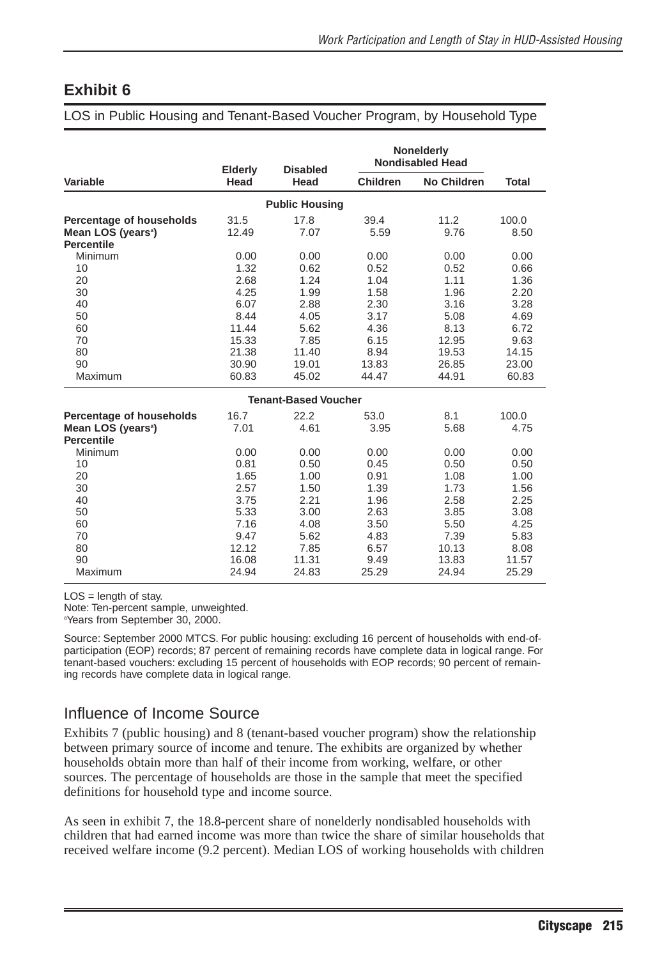LOS in Public Housing and Tenant-Based Voucher Program, by Household Type

|                                                                                 | <b>Elderly</b>                                                 | <b>Disabled</b>                                              |                                                              | <b>Nonelderly</b><br><b>Nondisabled Head</b>                  |                                                              |  |
|---------------------------------------------------------------------------------|----------------------------------------------------------------|--------------------------------------------------------------|--------------------------------------------------------------|---------------------------------------------------------------|--------------------------------------------------------------|--|
| Variable                                                                        | Head                                                           | Head                                                         | <b>Children</b>                                              | <b>No Children</b>                                            | <b>Total</b>                                                 |  |
|                                                                                 |                                                                | <b>Public Housing</b>                                        |                                                              |                                                               |                                                              |  |
| Percentage of households<br>Mean LOS (years <sup>a</sup> )<br><b>Percentile</b> | 31.5<br>12.49                                                  | 17.8<br>7.07                                                 | 39.4<br>5.59                                                 | 11.2<br>9.76                                                  | 100.0<br>8.50                                                |  |
| Minimum<br>10<br>20<br>30<br>40<br>50<br>60<br>70                               | 0.00<br>1.32<br>2.68<br>4.25<br>6.07<br>8.44<br>11.44<br>15.33 | 0.00<br>0.62<br>1.24<br>1.99<br>2.88<br>4.05<br>5.62<br>7.85 | 0.00<br>0.52<br>1.04<br>1.58<br>2.30<br>3.17<br>4.36<br>6.15 | 0.00<br>0.52<br>1.11<br>1.96<br>3.16<br>5.08<br>8.13<br>12.95 | 0.00<br>0.66<br>1.36<br>2.20<br>3.28<br>4.69<br>6.72<br>9.63 |  |
| 80<br>90<br>Maximum                                                             | 21.38<br>30.90<br>60.83                                        | 11.40<br>19.01<br>45.02                                      | 8.94<br>13.83<br>44.47                                       | 19.53<br>26.85<br>44.91                                       | 14.15<br>23.00<br>60.83                                      |  |
|                                                                                 |                                                                | <b>Tenant-Based Voucher</b>                                  |                                                              |                                                               |                                                              |  |
| Percentage of households<br>Mean LOS (years <sup>a</sup> )<br><b>Percentile</b> | 16.7<br>7.01                                                   | 22.2<br>4.61                                                 | 53.0<br>3.95                                                 | 8.1<br>5.68                                                   | 100.0<br>4.75                                                |  |
| Minimum<br>10<br>20<br>30                                                       | 0.00<br>0.81<br>1.65<br>2.57                                   | 0.00<br>0.50<br>1.00<br>1.50                                 | 0.00<br>0.45<br>0.91<br>1.39                                 | 0.00<br>0.50<br>1.08<br>1.73                                  | 0.00<br>0.50<br>1.00<br>1.56                                 |  |
| 40<br>50<br>60<br>70                                                            | 3.75<br>5.33<br>7.16<br>9.47                                   | 2.21<br>3.00<br>4.08<br>5.62                                 | 1.96<br>2.63<br>3.50<br>4.83                                 | 2.58<br>3.85<br>5.50<br>7.39                                  | 2.25<br>3.08<br>4.25<br>5.83                                 |  |
| 80<br>90<br>Maximum                                                             | 12.12<br>16.08<br>24.94                                        | 7.85<br>11.31<br>24.83                                       | 6.57<br>9.49<br>25.29                                        | 10.13<br>13.83<br>24.94                                       | 8.08<br>11.57<br>25.29                                       |  |

 $LOS = length of stay.$ 

Note: Ten-percent sample, unweighted.

a Years from September 30, 2000.

Source: September 2000 MTCS. For public housing: excluding 16 percent of households with end-ofparticipation (EOP) records; 87 percent of remaining records have complete data in logical range. For tenant-based vouchers: excluding 15 percent of households with EOP records; 90 percent of remaining records have complete data in logical range.

#### Influence of Income Source

Exhibits 7 (public housing) and 8 (tenant-based voucher program) show the relationship between primary source of income and tenure. The exhibits are organized by whether households obtain more than half of their income from working, welfare, or other sources. The percentage of households are those in the sample that meet the specified definitions for household type and income source.

As seen in exhibit 7, the 18.8-percent share of nonelderly nondisabled households with children that had earned income was more than twice the share of similar households that received welfare income (9.2 percent). Median LOS of working households with children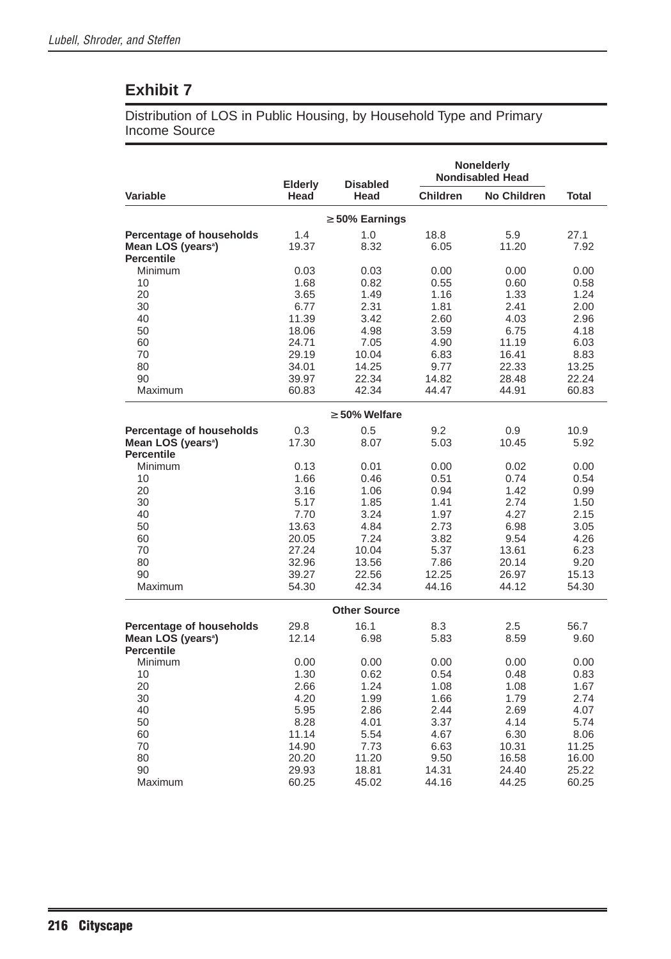Distribution of LOS in Public Housing, by Household Type and Primary Income Source

|                                                                                 | <b>Elderly</b>                                                                            | <b>Disabled</b>                                                                         |                                                                                        | <b>Nonelderly</b><br><b>Nondisabled Head</b>                                             |                                                                                          |
|---------------------------------------------------------------------------------|-------------------------------------------------------------------------------------------|-----------------------------------------------------------------------------------------|----------------------------------------------------------------------------------------|------------------------------------------------------------------------------------------|------------------------------------------------------------------------------------------|
| Variable                                                                        | Head                                                                                      | Head                                                                                    | <b>Children</b>                                                                        | <b>No Children</b>                                                                       | <b>Total</b>                                                                             |
|                                                                                 |                                                                                           | $\geq$ 50% Earnings                                                                     |                                                                                        |                                                                                          |                                                                                          |
| Percentage of households<br>Mean LOS (years <sup>a</sup> )<br><b>Percentile</b> | 1.4<br>19.37                                                                              | 1.0<br>8.32                                                                             | 18.8<br>6.05                                                                           | 5.9<br>11.20                                                                             | 27.1<br>7.92                                                                             |
| Minimum<br>10<br>20<br>30<br>40<br>50<br>60<br>70                               | 0.03<br>1.68<br>3.65<br>6.77<br>11.39<br>18.06<br>24.71<br>29.19                          | 0.03<br>0.82<br>1.49<br>2.31<br>3.42<br>4.98<br>7.05<br>10.04                           | 0.00<br>0.55<br>1.16<br>1.81<br>2.60<br>3.59<br>4.90<br>6.83                           | 0.00<br>0.60<br>1.33<br>2.41<br>4.03<br>6.75<br>11.19<br>16.41                           | 0.00<br>0.58<br>1.24<br>2.00<br>2.96<br>4.18<br>6.03<br>8.83                             |
| 80<br>90<br>Maximum                                                             | 34.01<br>39.97<br>60.83                                                                   | 14.25<br>22.34<br>42.34                                                                 | 9.77<br>14.82<br>44.47                                                                 | 22.33<br>28.48<br>44.91                                                                  | 13.25<br>22.24<br>60.83                                                                  |
|                                                                                 |                                                                                           | $\geq 50\%$ Welfare                                                                     |                                                                                        |                                                                                          |                                                                                          |
| Percentage of households<br>Mean LOS (years <sup>a</sup> )<br><b>Percentile</b> | 0.3<br>17.30                                                                              | 0.5<br>8.07                                                                             | 9.2<br>5.03                                                                            | 0.9<br>10.45                                                                             | 10.9<br>5.92                                                                             |
| Minimum<br>10<br>20<br>30<br>40<br>50<br>60<br>70                               | 0.13<br>1.66<br>3.16<br>5.17<br>7.70<br>13.63<br>20.05<br>27.24                           | 0.01<br>0.46<br>1.06<br>1.85<br>3.24<br>4.84<br>7.24<br>10.04                           | 0.00<br>0.51<br>0.94<br>1.41<br>1.97<br>2.73<br>3.82<br>5.37                           | 0.02<br>0.74<br>1.42<br>2.74<br>4.27<br>6.98<br>9.54<br>13.61                            | 0.00<br>0.54<br>0.99<br>1.50<br>2.15<br>3.05<br>4.26<br>6.23                             |
| 80<br>90<br>Maximum                                                             | 32.96<br>39.27<br>54.30                                                                   | 13.56<br>22.56<br>42.34                                                                 | 7.86<br>12.25<br>44.16                                                                 | 20.14<br>26.97<br>44.12                                                                  | 9.20<br>15.13<br>54.30                                                                   |
|                                                                                 |                                                                                           | <b>Other Source</b>                                                                     |                                                                                        |                                                                                          |                                                                                          |
| Percentage of households<br>Mean LOS (years <sup>a</sup> )<br><b>Percentile</b> | 29.8<br>12.14                                                                             | 16.1<br>6.98                                                                            | 8.3<br>5.83                                                                            | 2.5<br>8.59                                                                              | 56.7<br>9.60                                                                             |
| Minimum<br>10<br>20<br>30<br>40<br>50<br>60<br>70<br>80<br>90<br>Maximum        | 0.00<br>1.30<br>2.66<br>4.20<br>5.95<br>8.28<br>11.14<br>14.90<br>20.20<br>29.93<br>60.25 | 0.00<br>0.62<br>1.24<br>1.99<br>2.86<br>4.01<br>5.54<br>7.73<br>11.20<br>18.81<br>45.02 | 0.00<br>0.54<br>1.08<br>1.66<br>2.44<br>3.37<br>4.67<br>6.63<br>9.50<br>14.31<br>44.16 | 0.00<br>0.48<br>1.08<br>1.79<br>2.69<br>4.14<br>6.30<br>10.31<br>16.58<br>24.40<br>44.25 | 0.00<br>0.83<br>1.67<br>2.74<br>4.07<br>5.74<br>8.06<br>11.25<br>16.00<br>25.22<br>60.25 |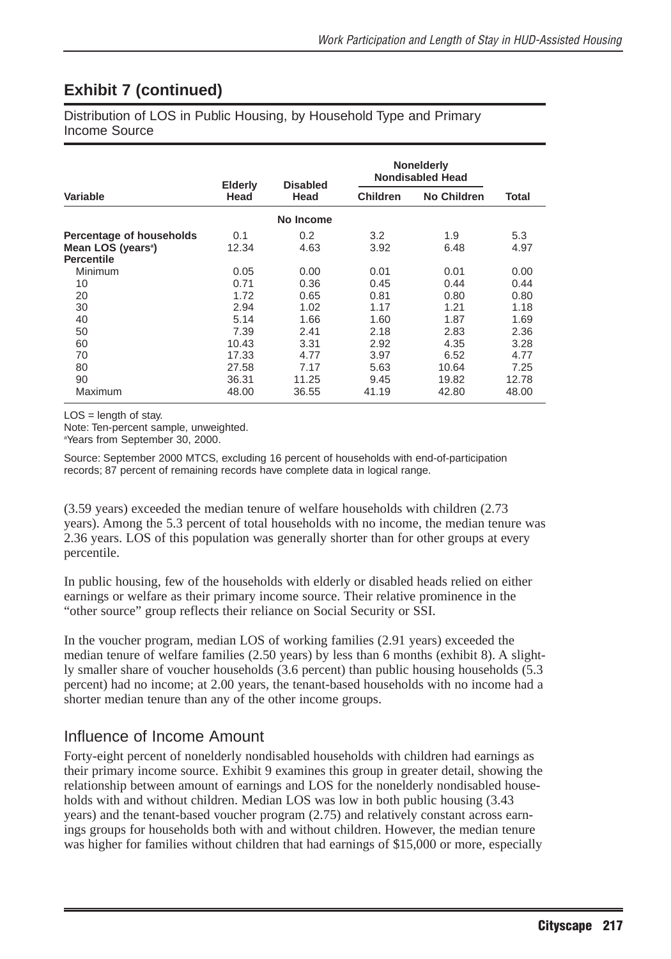#### **Exhibit 7 (continued)**

Distribution of LOS in Public Housing, by Household Type and Primary Income Source

|                                                                                 | <b>Disabled</b><br><b>Elderly</b> |             | <b>Nonelderly</b><br><b>Nondisabled Head</b> |                    |             |
|---------------------------------------------------------------------------------|-----------------------------------|-------------|----------------------------------------------|--------------------|-------------|
| Variable                                                                        | Head                              | Head        | <b>Children</b>                              | <b>No Children</b> | Total       |
|                                                                                 |                                   | No Income   |                                              |                    |             |
| Percentage of households<br>Mean LOS (years <sup>a</sup> )<br><b>Percentile</b> | 0.1<br>12.34                      | 0.2<br>4.63 | $3.2^{\circ}$<br>3.92                        | 1.9<br>6.48        | 5.3<br>4.97 |
| Minimum                                                                         | 0.05                              | 0.00        | 0.01                                         | 0.01               | 0.00        |
| 10                                                                              | 0.71                              | 0.36        | 0.45                                         | 0.44               | 0.44        |
| 20                                                                              | 1.72                              | 0.65        | 0.81                                         | 0.80               | 0.80        |
| 30                                                                              | 2.94                              | 1.02        | 1.17                                         | 1.21               | 1.18        |
| 40                                                                              | 5.14                              | 1.66        | 1.60                                         | 1.87               | 1.69        |
| 50                                                                              | 7.39                              | 2.41        | 2.18                                         | 2.83               | 2.36        |
| 60                                                                              | 10.43                             | 3.31        | 2.92                                         | 4.35               | 3.28        |
| 70                                                                              | 17.33                             | 4.77        | 3.97                                         | 6.52               | 4.77        |
| 80                                                                              | 27.58                             | 7.17        | 5.63                                         | 10.64              | 7.25        |
| 90                                                                              | 36.31                             | 11.25       | 9.45                                         | 19.82              | 12.78       |
| Maximum                                                                         | 48.00                             | 36.55       | 41.19                                        | 42.80              | 48.00       |

 $LOS = length of stay.$ 

Note: Ten-percent sample, unweighted.

a Years from September 30, 2000.

Source: September 2000 MTCS, excluding 16 percent of households with end-of-participation records; 87 percent of remaining records have complete data in logical range.

(3.59 years) exceeded the median tenure of welfare households with children (2.73 years). Among the 5.3 percent of total households with no income, the median tenure was 2.36 years. LOS of this population was generally shorter than for other groups at every percentile.

In public housing, few of the households with elderly or disabled heads relied on either earnings or welfare as their primary income source. Their relative prominence in the "other source" group reflects their reliance on Social Security or SSI.

In the voucher program, median LOS of working families (2.91 years) exceeded the median tenure of welfare families (2.50 years) by less than 6 months (exhibit 8). A slightly smaller share of voucher households (3.6 percent) than public housing households (5.3 percent) had no income; at 2.00 years, the tenant-based households with no income had a shorter median tenure than any of the other income groups.

#### Influence of Income Amount

Forty-eight percent of nonelderly nondisabled households with children had earnings as their primary income source. Exhibit 9 examines this group in greater detail, showing the relationship between amount of earnings and LOS for the nonelderly nondisabled households with and without children. Median LOS was low in both public housing (3.43 years) and the tenant-based voucher program (2.75) and relatively constant across earnings groups for households both with and without children. However, the median tenure was higher for families without children that had earnings of \$15,000 or more, especially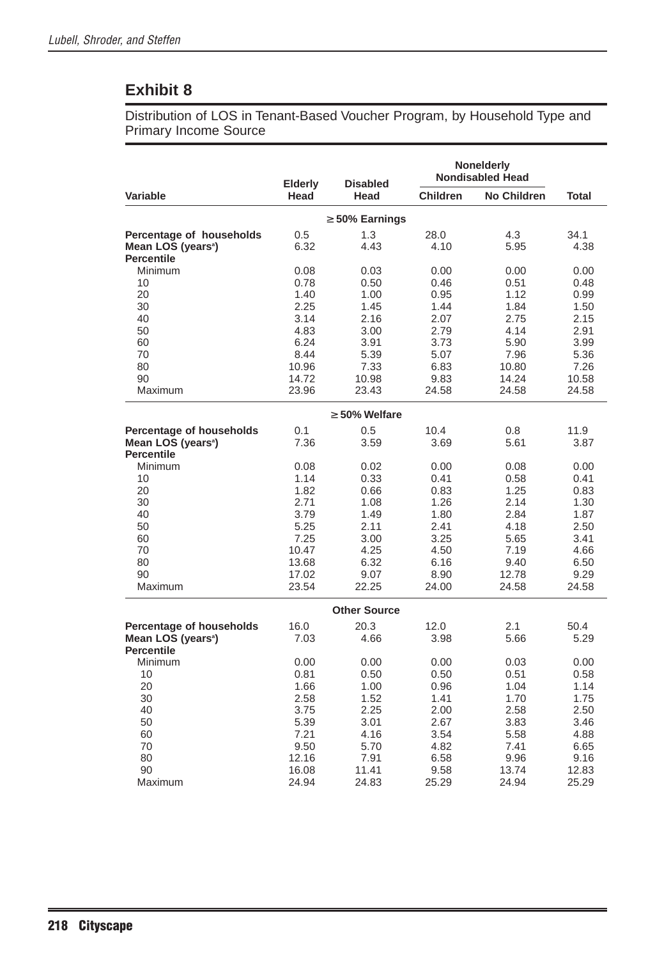Distribution of LOS in Tenant-Based Voucher Program, by Household Type and Primary Income Source

|                                                                                        | <b>Elderly</b><br><b>Disabled</b> |                      |                 | <b>Nonelderly</b><br><b>Nondisabled Head</b> |              |  |
|----------------------------------------------------------------------------------------|-----------------------------------|----------------------|-----------------|----------------------------------------------|--------------|--|
| Variable                                                                               | Head                              | Head                 | <b>Children</b> | <b>No Children</b>                           | <b>Total</b> |  |
|                                                                                        |                                   | $\geq 50\%$ Earnings |                 |                                              |              |  |
| Percentage of households<br>Mean LOS (years <sup>a</sup> )<br><b>Percentile</b>        | 0.5<br>6.32                       | 1.3<br>4.43          | 28.0<br>4.10    | 4.3<br>5.95                                  | 34.1<br>4.38 |  |
| Minimum                                                                                | 0.08                              | 0.03                 | 0.00            | 0.00                                         | 0.00         |  |
| 10                                                                                     | 0.78                              | 0.50                 | 0.46            | 0.51                                         | 0.48         |  |
| 20                                                                                     | 1.40                              | 1.00                 | 0.95            | 1.12                                         | 0.99         |  |
| 30                                                                                     | 2.25                              | 1.45                 | 1.44            | 1.84                                         | 1.50         |  |
| 40                                                                                     | 3.14                              | 2.16                 | 2.07            | 2.75                                         | 2.15         |  |
| 50                                                                                     | 4.83                              | 3.00                 | 2.79            | 4.14                                         | 2.91         |  |
| 60                                                                                     | 6.24                              | 3.91                 | 3.73            | 5.90                                         | 3.99         |  |
| 70                                                                                     | 8.44                              | 5.39                 | 5.07            | 7.96                                         | 5.36         |  |
| 80                                                                                     | 10.96                             | 7.33                 | 6.83            | 10.80                                        | 7.26         |  |
| 90                                                                                     | 14.72                             | 10.98                | 9.83            | 14.24                                        | 10.58        |  |
| Maximum                                                                                | 23.96                             | 23.43                | 24.58           | 24.58                                        | 24.58        |  |
|                                                                                        |                                   | $\geq 50\%$ Welfare  |                 |                                              |              |  |
| <b>Percentage of households</b><br>Mean LOS (years <sup>a</sup> )<br><b>Percentile</b> | 0.1<br>7.36                       | 0.5<br>3.59          | 10.4<br>3.69    | 0.8<br>5.61                                  | 11.9<br>3.87 |  |
| Minimum                                                                                | 0.08                              | 0.02                 | 0.00            | 0.08                                         | 0.00         |  |
| 10                                                                                     | 1.14                              | 0.33                 | 0.41            | 0.58                                         | 0.41         |  |
| 20                                                                                     | 1.82                              | 0.66                 | 0.83            | 1.25                                         | 0.83         |  |
| 30                                                                                     | 2.71                              | 1.08                 | 1.26            | 2.14                                         | 1.30         |  |
| 40                                                                                     | 3.79                              | 1.49                 | 1.80            | 2.84                                         | 1.87         |  |
| 50                                                                                     | 5.25                              | 2.11                 | 2.41            | 4.18                                         | 2.50         |  |
| 60                                                                                     | 7.25                              | 3.00                 | 3.25            | 5.65                                         | 3.41         |  |
| 70                                                                                     | 10.47                             | 4.25                 | 4.50            | 7.19                                         | 4.66         |  |
| 80                                                                                     | 13.68                             | 6.32                 | 6.16            | 9.40                                         | 6.50         |  |
| 90                                                                                     | 17.02                             | 9.07                 | 8.90            | 12.78                                        | 9.29         |  |
| Maximum                                                                                | 23.54                             | 22.25                | 24.00           | 24.58                                        | 24.58        |  |
|                                                                                        |                                   | <b>Other Source</b>  |                 |                                              |              |  |
| Percentage of households<br>Mean LOS (years <sup>a</sup> )<br><b>Percentile</b>        | 16.0<br>7.03                      | 20.3<br>4.66         | 12.0<br>3.98    | 2.1<br>5.66                                  | 50.4<br>5.29 |  |
| Minimum                                                                                | 0.00                              | 0.00                 | 0.00            | 0.03                                         | 0.00         |  |
| 10                                                                                     | 0.81                              | 0.50                 | 0.50            | 0.51                                         | 0.58         |  |
| 20                                                                                     | 1.66                              | 1.00                 | 0.96            | 1.04                                         | 1.14         |  |
| 30                                                                                     | 2.58                              | 1.52                 | 1.41            | 1.70                                         | 1.75         |  |
| 40                                                                                     | 3.75                              | 2.25                 | 2.00            | 2.58                                         | 2.50         |  |
| 50                                                                                     | 5.39                              | 3.01                 | 2.67            | 3.83                                         | 3.46         |  |
| 60                                                                                     | 7.21                              | 4.16                 | 3.54            | 5.58                                         | 4.88         |  |
| 70                                                                                     | 9.50                              | 5.70                 | 4.82            | 7.41                                         | 6.65         |  |
| 80                                                                                     | 12.16                             | 7.91                 | 6.58            | 9.96                                         | 9.16         |  |
| 90                                                                                     | 16.08                             | 11.41                | 9.58            | 13.74                                        | 12.83        |  |
| Maximum                                                                                | 24.94                             | 24.83                | 25.29           | 24.94                                        | 25.29        |  |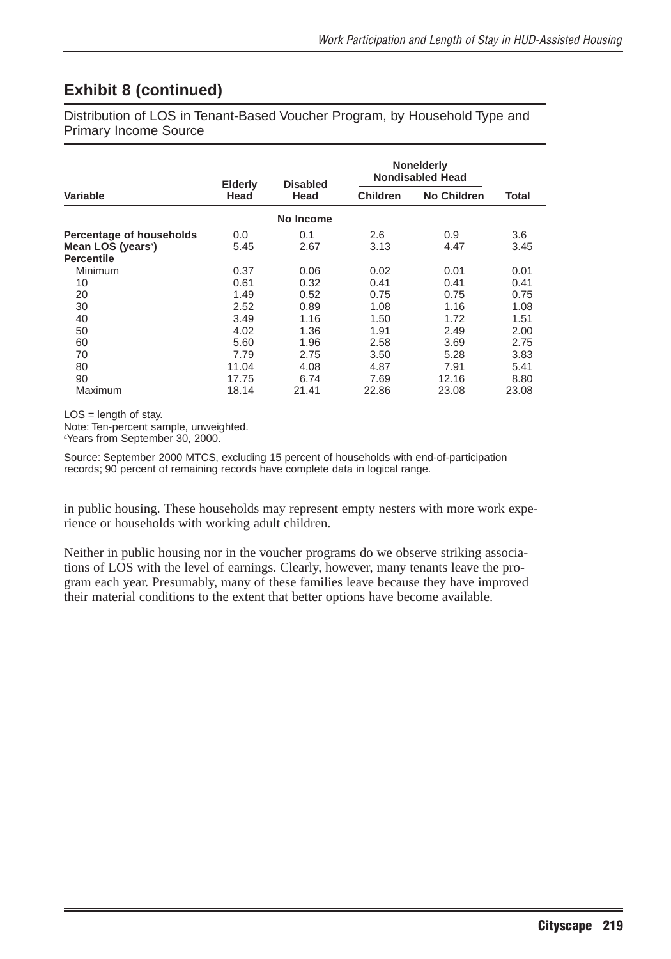#### **Exhibit 8 (continued)**

Distribution of LOS in Tenant-Based Voucher Program, by Household Type and Primary Income Source

|                                                            | <b>Elderly</b> | <b>Disabled</b> | <b>Nonelderly</b><br><b>Nondisabled Head</b> |                    |             |
|------------------------------------------------------------|----------------|-----------------|----------------------------------------------|--------------------|-------------|
| Variable                                                   | Head           | Head            | <b>Children</b>                              | <b>No Children</b> | Total       |
|                                                            |                | No Income       |                                              |                    |             |
| Percentage of households<br>Mean LOS (years <sup>a</sup> ) | 0.0<br>5.45    | 0.1<br>2.67     | 2.6<br>3.13                                  | 0.9<br>4.47        | 3.6<br>3.45 |
| <b>Percentile</b>                                          |                |                 |                                              |                    |             |
| Minimum                                                    | 0.37           | 0.06            | 0.02                                         | 0.01               | 0.01        |
| 10                                                         | 0.61           | 0.32            | 0.41                                         | 0.41               | 0.41        |
| 20                                                         | 1.49           | 0.52            | 0.75                                         | 0.75               | 0.75        |
| 30                                                         | 2.52           | 0.89            | 1.08                                         | 1.16               | 1.08        |
| 40                                                         | 3.49           | 1.16            | 1.50                                         | 1.72               | 1.51        |
| 50                                                         | 4.02           | 1.36            | 1.91                                         | 2.49               | 2.00        |
| 60                                                         | 5.60           | 1.96            | 2.58                                         | 3.69               | 2.75        |
| 70                                                         | 7.79           | 2.75            | 3.50                                         | 5.28               | 3.83        |
| 80                                                         | 11.04          | 4.08            | 4.87                                         | 7.91               | 5.41        |
| 90                                                         | 17.75          | 6.74            | 7.69                                         | 12.16              | 8.80        |
| Maximum                                                    | 18.14          | 21.41           | 22.86                                        | 23.08              | 23.08       |

 $LOS = length of stay.$ 

Note: Ten-percent sample, unweighted.

a Years from September 30, 2000.

Source: September 2000 MTCS, excluding 15 percent of households with end-of-participation records; 90 percent of remaining records have complete data in logical range.

in public housing. These households may represent empty nesters with more work experience or households with working adult children.

Neither in public housing nor in the voucher programs do we observe striking associations of LOS with the level of earnings. Clearly, however, many tenants leave the program each year. Presumably, many of these families leave because they have improved their material conditions to the extent that better options have become available.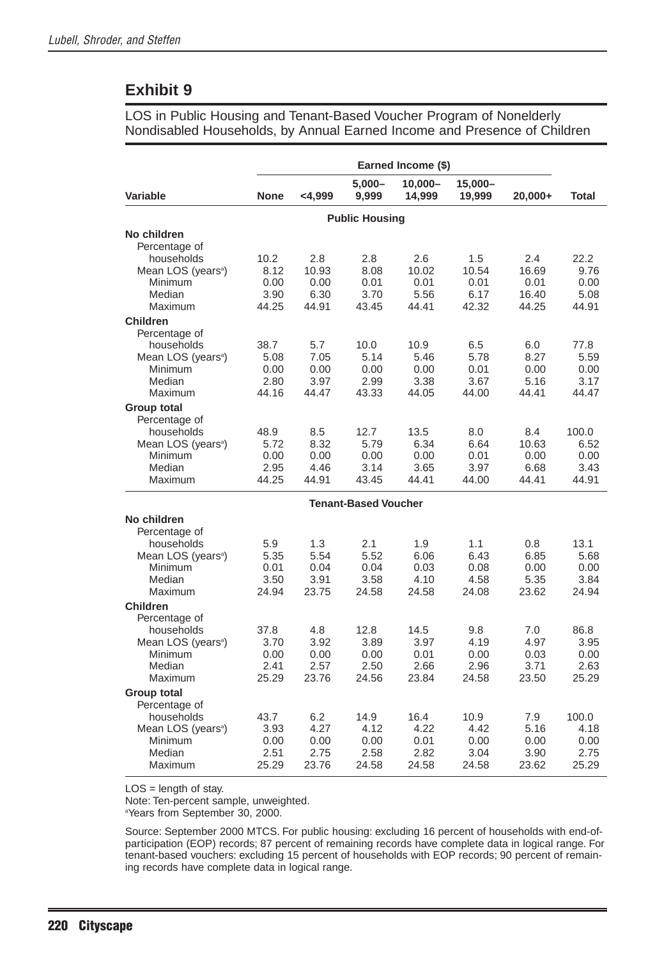LOS in Public Housing and Tenant-Based Voucher Program of Nonelderly Nondisabled Households, by Annual Earned Income and Presence of Children

|                                           |               |               |                             | Earned Income (\$) |                   |                |              |
|-------------------------------------------|---------------|---------------|-----------------------------|--------------------|-------------------|----------------|--------------|
| <b>Variable</b>                           | <b>None</b>   | < 4,999       | $5,000 -$<br>9,999          | 10,000-<br>14,999  | 15,000-<br>19,999 | 20,000+        | <b>Total</b> |
|                                           |               |               | <b>Public Housing</b>       |                    |                   |                |              |
| No children                               |               |               |                             |                    |                   |                |              |
| Percentage of                             |               |               |                             |                    |                   |                |              |
| households                                | 10.2          | 2.8           | 2.8                         | 2.6                | 1.5               | 2.4            | 22.2         |
| Mean LOS (years <sup>a</sup> )            | 8.12          | 10.93         | 8.08                        | 10.02              | 10.54             | 16.69          | 9.76         |
| Minimum<br>Median                         | 0.00          | 0.00          | 0.01                        | 0.01               | 0.01              | 0.01           | 0.00<br>5.08 |
| Maximum                                   | 3.90<br>44.25 | 6.30<br>44.91 | 3.70<br>43.45               | 5.56<br>44.41      | 6.17<br>42.32     | 16.40<br>44.25 | 44.91        |
| <b>Children</b>                           |               |               |                             |                    |                   |                |              |
| Percentage of                             |               |               |                             |                    |                   |                |              |
| households                                | 38.7          | 5.7           | 10.0                        | 10.9               | 6.5               | 6.0            | 77.8         |
| Mean LOS (years <sup>a</sup> )            | 5.08          | 7.05          | 5.14                        | 5.46               | 5.78              | 8.27           | 5.59         |
| Minimum                                   | 0.00          | 0.00          | 0.00                        | 0.00               | 0.01              | 0.00           | 0.00         |
| Median                                    | 2.80          | 3.97          | 2.99                        | 3.38               | 3.67              | 5.16           | 3.17         |
| Maximum                                   | 44.16         | 44.47         | 43.33                       | 44.05              | 44.00             | 44.41          | 44.47        |
| Group total                               |               |               |                             |                    |                   |                |              |
| Percentage of                             |               |               |                             |                    |                   |                |              |
| households                                | 48.9          | 8.5           | 12.7                        | 13.5               | 8.0               | 8.4            | 100.0        |
| Mean LOS (years <sup>a</sup> )            | 5.72          | 8.32          | 5.79                        | 6.34               | 6.64              | 10.63          | 6.52<br>0.00 |
| Minimum<br>Median                         | 0.00<br>2.95  | 0.00<br>4.46  | 0.00<br>3.14                | 0.00<br>3.65       | 0.01<br>3.97      | 0.00<br>6.68   | 3.43         |
| Maximum                                   | 44.25         | 44.91         | 43.45                       | 44.41              | 44.00             | 44.41          | 44.91        |
|                                           |               |               | <b>Tenant-Based Voucher</b> |                    |                   |                |              |
| No children                               |               |               |                             |                    |                   |                |              |
| Percentage of                             |               |               |                             |                    |                   |                |              |
| households                                | 5.9           | 1.3           | 2.1                         | 1.9                | 1.1               | 0.8            | 13.1         |
| Mean LOS (years <sup>a</sup> )            | 5.35          | 5.54          | 5.52                        | 6.06               | 6.43              | 6.85           | 5.68         |
| Minimum                                   | 0.01          | 0.04          | 0.04                        | 0.03               | 0.08              | 0.00           | 0.00         |
| Median                                    | 3.50          | 3.91          | 3.58                        | 4.10               | 4.58              | 5.35           | 3.84         |
| Maximum                                   | 24.94         | 23.75         | 24.58                       | 24.58              | 24.08             | 23.62          | 24.94        |
| <b>Children</b>                           |               |               |                             |                    |                   |                |              |
| Percentage of                             |               |               |                             |                    |                   |                |              |
| households                                | 37.8          | 4.8           | 12.8                        | 14.5               | 9.8               | 7.0            | 86.8         |
| Mean LOS (years <sup>a</sup> )<br>Minimum | 3.70<br>0.00  | 3.92<br>0.00  | 3.89<br>0.00                | 3.97<br>0.01       | 4.19<br>0.00      | 4.97<br>0.03   | 3.95<br>0.00 |
| Median                                    | 2.41          | 2.57          | 2.50                        | 2.66               | 2.96              | 3.71           | 2.63         |
| Maximum                                   | 25.29         | 23.76         | 24.56                       | 23.84              | 24.58             | 23.50          | 25.29        |
| Group total                               |               |               |                             |                    |                   |                |              |
| Percentage of                             |               |               |                             |                    |                   |                |              |
| households                                | 43.7          | 6.2           | 14.9                        | 16.4               | 10.9              | 7.9            | 100.0        |
| Mean LOS (years <sup>a</sup> )            | 3.93          | 4.27          | 4.12                        | 4.22               | 4.42              | 5.16           | 4.18         |
| Minimum                                   | 0.00          | 0.00          | 0.00                        | 0.01               | 0.00              | 0.00           | 0.00         |
| Median                                    | 2.51          | 2.75          | 2.58                        | 2.82               | 3.04              | 3.90           | 2.75         |
| Maximum                                   | 25.29         | 23.76         | 24.58                       | 24.58              | 24.58             | 23.62          | 25.29        |

 $LOS = length of stay.$ 

Note: Ten-percent sample, unweighted.

a Years from September 30, 2000.

Source: September 2000 MTCS. For public housing: excluding 16 percent of households with end-ofparticipation (EOP) records; 87 percent of remaining records have complete data in logical range. For tenant-based vouchers: excluding 15 percent of households with EOP records; 90 percent of remaining records have complete data in logical range.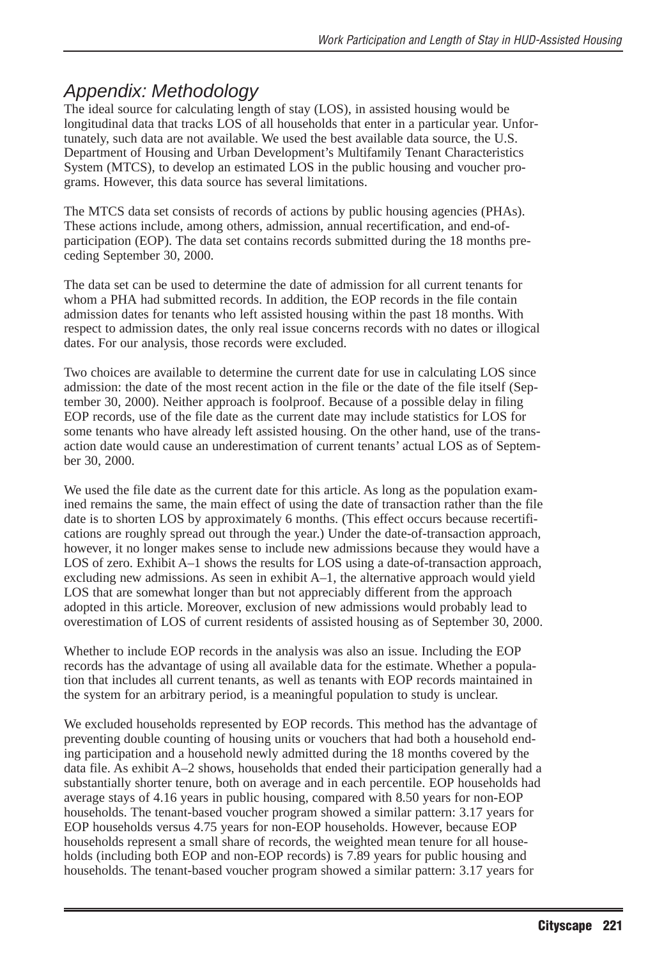### Appendix: Methodology

The ideal source for calculating length of stay (LOS), in assisted housing would be longitudinal data that tracks LOS of all households that enter in a particular year. Unfortunately, such data are not available. We used the best available data source, the U.S. Department of Housing and Urban Development's Multifamily Tenant Characteristics System (MTCS), to develop an estimated LOS in the public housing and voucher programs. However, this data source has several limitations.

The MTCS data set consists of records of actions by public housing agencies (PHAs). These actions include, among others, admission, annual recertification, and end-ofparticipation (EOP). The data set contains records submitted during the 18 months preceding September 30, 2000.

The data set can be used to determine the date of admission for all current tenants for whom a PHA had submitted records. In addition, the EOP records in the file contain admission dates for tenants who left assisted housing within the past 18 months. With respect to admission dates, the only real issue concerns records with no dates or illogical dates. For our analysis, those records were excluded.

Two choices are available to determine the current date for use in calculating LOS since admission: the date of the most recent action in the file or the date of the file itself (September 30, 2000). Neither approach is foolproof. Because of a possible delay in filing EOP records, use of the file date as the current date may include statistics for LOS for some tenants who have already left assisted housing. On the other hand, use of the transaction date would cause an underestimation of current tenants' actual LOS as of September 30, 2000.

We used the file date as the current date for this article. As long as the population examined remains the same, the main effect of using the date of transaction rather than the file date is to shorten LOS by approximately 6 months. (This effect occurs because recertifications are roughly spread out through the year.) Under the date-of-transaction approach, however, it no longer makes sense to include new admissions because they would have a LOS of zero. Exhibit A–1 shows the results for LOS using a date-of-transaction approach, excluding new admissions. As seen in exhibit A–1, the alternative approach would yield LOS that are somewhat longer than but not appreciably different from the approach adopted in this article. Moreover, exclusion of new admissions would probably lead to overestimation of LOS of current residents of assisted housing as of September 30, 2000.

Whether to include EOP records in the analysis was also an issue. Including the EOP records has the advantage of using all available data for the estimate. Whether a population that includes all current tenants, as well as tenants with EOP records maintained in the system for an arbitrary period, is a meaningful population to study is unclear.

We excluded households represented by EOP records. This method has the advantage of preventing double counting of housing units or vouchers that had both a household ending participation and a household newly admitted during the 18 months covered by the data file. As exhibit A–2 shows, households that ended their participation generally had a substantially shorter tenure, both on average and in each percentile. EOP households had average stays of 4.16 years in public housing, compared with 8.50 years for non-EOP households. The tenant-based voucher program showed a similar pattern: 3.17 years for EOP households versus 4.75 years for non-EOP households. However, because EOP households represent a small share of records, the weighted mean tenure for all households (including both EOP and non-EOP records) is 7.89 years for public housing and households. The tenant-based voucher program showed a similar pattern: 3.17 years for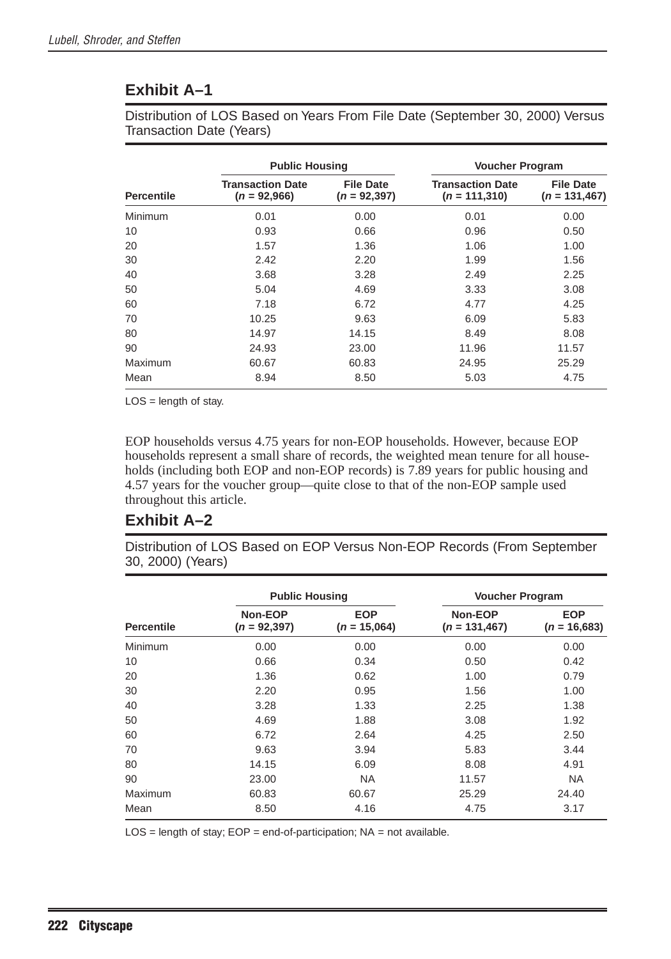#### **Exhibit A–1**

| Distribution of LOS Based on Years From File Date (September 30, 2000) Versus |  |  |  |
|-------------------------------------------------------------------------------|--|--|--|
| Transaction Date (Years)                                                      |  |  |  |

| <b>Percentile</b> | <b>Public Housing</b>                     |                                     | <b>Voucher Program</b>                      |                                      |
|-------------------|-------------------------------------------|-------------------------------------|---------------------------------------------|--------------------------------------|
|                   | <b>Transaction Date</b><br>$(n = 92,966)$ | <b>File Date</b><br>$(n = 92, 397)$ | <b>Transaction Date</b><br>$(n = 111, 310)$ | <b>File Date</b><br>$(n = 131, 467)$ |
| Minimum           | 0.01                                      | 0.00                                | 0.01                                        | 0.00                                 |
| 10                | 0.93                                      | 0.66                                | 0.96                                        | 0.50                                 |
| 20                | 1.57                                      | 1.36                                | 1.06                                        | 1.00                                 |
| 30                | 2.42                                      | 2.20                                | 1.99                                        | 1.56                                 |
| 40                | 3.68                                      | 3.28                                | 2.49                                        | 2.25                                 |
| 50                | 5.04                                      | 4.69                                | 3.33                                        | 3.08                                 |
| 60                | 7.18                                      | 6.72                                | 4.77                                        | 4.25                                 |
| 70                | 10.25                                     | 9.63                                | 6.09                                        | 5.83                                 |
| 80                | 14.97                                     | 14.15                               | 8.49                                        | 8.08                                 |
| 90                | 24.93                                     | 23.00                               | 11.96                                       | 11.57                                |
| Maximum           | 60.67                                     | 60.83                               | 24.95                                       | 25.29                                |
| Mean              | 8.94                                      | 8.50                                | 5.03                                        | 4.75                                 |

 $LOS = length of stay.$ 

EOP households versus 4.75 years for non-EOP households. However, because EOP households represent a small share of records, the weighted mean tenure for all households (including both EOP and non-EOP records) is 7.89 years for public housing and 4.57 years for the voucher group—quite close to that of the non-EOP sample used throughout this article.

#### **Exhibit A–2**

Distribution of LOS Based on EOP Versus Non-EOP Records (From September 30, 2000) (Years)

| <b>Percentile</b> | <b>Public Housing</b>      |                              | <b>Voucher Program</b>     |                              |
|-------------------|----------------------------|------------------------------|----------------------------|------------------------------|
|                   | Non-EOP<br>$(n = 92, 397)$ | <b>EOP</b><br>$(n = 15,064)$ | Non-EOP<br>$(n = 131,467)$ | <b>EOP</b><br>$(n = 16,683)$ |
| <b>Minimum</b>    | 0.00                       | 0.00                         | 0.00                       | 0.00                         |
| 10                | 0.66                       | 0.34                         | 0.50                       | 0.42                         |
| 20                | 1.36                       | 0.62                         | 1.00                       | 0.79                         |
| 30                | 2.20                       | 0.95                         | 1.56                       | 1.00                         |
| 40                | 3.28                       | 1.33                         | 2.25                       | 1.38                         |
| 50                | 4.69                       | 1.88                         | 3.08                       | 1.92                         |
| 60                | 6.72                       | 2.64                         | 4.25                       | 2.50                         |
| 70                | 9.63                       | 3.94                         | 5.83                       | 3.44                         |
| 80                | 14.15                      | 6.09                         | 8.08                       | 4.91                         |
| 90                | 23.00                      | <b>NA</b>                    | 11.57                      | <b>NA</b>                    |
| Maximum           | 60.83                      | 60.67                        | 25.29                      | 24.40                        |
| Mean              | 8.50                       | 4.16                         | 4.75                       | 3.17                         |

 $LOS = length of stay; EOP = end-of-participation; NA = not available.$